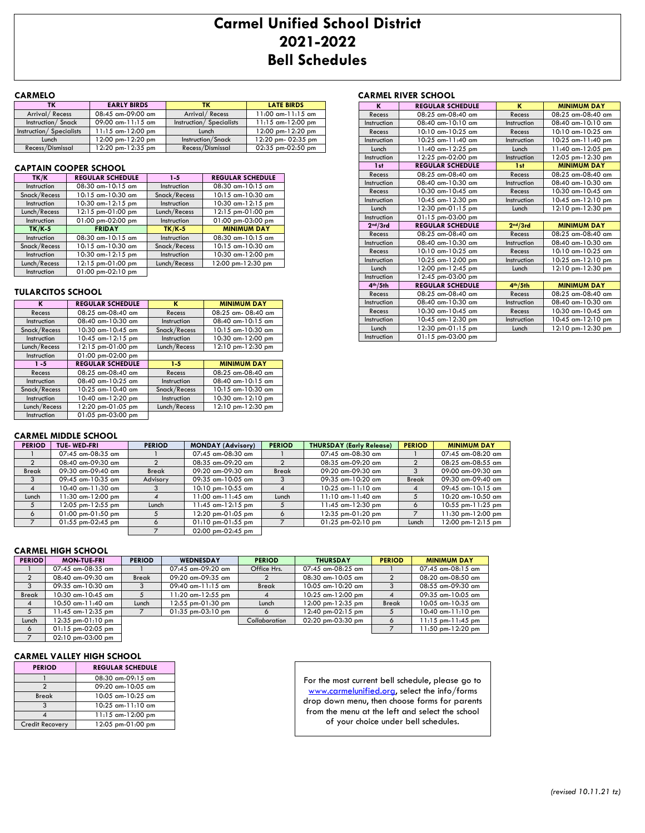## **Carmel Unified School District 2021-2022 Bell Schedules**

## **CARMELO** CARMELO **CARMELO** CARMELO

| τк                      | <b>EARLY BIRDS</b>     | тκ                      | <b>LATE BIRDS</b>      |
|-------------------------|------------------------|-------------------------|------------------------|
| Arrival / Recess        | 08:45 am-09:00 am      | Arrival / Recess        | $11:00$ am- $11:15$ am |
| Instruction/Snack       | $09:00$ am-11:15 am    | Instruction/Specialists | $11:15$ am- $12:00$ pm |
| Instruction/Specialists | $11:15$ am- $12:00$ pm | Lunch                   | 12:00 pm-12:20 pm      |
| Lunch                   | 12:00 pm-12:20 pm      | Instruction/Snack       | 12:20 pm- 02:35 pm     |
| Recess/Dismissal        | 12:20 pm-12:35 pm      | Recess/Dismissal        | 02:35 pm-02:50 pm      |

## **CAPTAIN COOPER SCHOOL**

| TK/K         | <b>REGULAR SCHEDULE</b> | $1 - 5$      | <b>REGULAR SCHEDULE</b> |
|--------------|-------------------------|--------------|-------------------------|
| Instruction  | 08:30 am-10:15 am       | Instruction  | 08:30 am-10:15 am       |
| Snack/Recess | 10:15 am-10:30 am       | Snack/Recess | 10:15 am-10:30 am       |
| Instruction  | 10:30 am-12:15 pm       | Instruction  | 10:30 am-12:15 pm       |
| Lunch/Recess | 12:15 pm-01:00 pm       | Lunch/Recess | 12:15 pm-01:00 pm       |
| Instruction  | 01:00 pm-02:00 pm       | Instruction  | 01:00 pm-03:00 pm       |
| $TK/K-5$     | <b>FRIDAY</b>           | $TK/K-5$     | <b>MINIMUM DAY</b>      |
| Instruction  | 08:30 am-10:15 am       | Instruction  | 08:30 am-10:15 am       |
| Snack/Recess | 10:15 am-10:30 am       | Snack/Recess | $10:15$ am- $10:30$ am  |
| Instruction  | 10:30 am-12:15 pm       | Instruction  | 10:30 am-12:00 pm       |
| Lunch/Recess | 12:15 pm-01:00 pm       | Lunch/Recess | 12:00 pm-12:30 pm       |
| Instruction  | $01:00$ pm- $02:10$ pm  |              |                         |

## **TULARCITOS SCHOOL**

| ĸ            | <b>REGULAR SCHEDULE</b> | к            | <b>MINIMUM DAY</b> |
|--------------|-------------------------|--------------|--------------------|
| Recess       | 08:25 am-08:40 am       | Recess       | 08:25 am- 08:40 am |
| Instruction  | 08:40 am-10:30 am       | Instruction  | 08:40 am-10:15 am  |
| Snack/Recess | 10:30 am-10:45 am       | Snack/Recess | 10:15 am-10:30 am  |
| Instruction  | 10:45 am-12:15 pm       | Instruction  | 10:30 am-12:00 pm  |
| Lunch/Recess | 12:15 pm-01:00 pm       | Lunch/Recess | 12:10 pm-12:30 pm  |
| Instruction  | 01:00 pm-02:00 pm       |              |                    |
| $1 - 5$      | <b>REGULAR SCHEDULE</b> | $1 - 5$      | <b>MINIMUM DAY</b> |
| Recess       | $08:25$ am- $08:40$ am  | Recess       | 08:25 am-08:40 am  |
| Instruction  | 08:40 am-10:25 am       | Instruction  | 08:40 am-10:15 am  |
| Snack/Recess | 10:25 am-10:40 am       | Snack/Recess | 10:15 am-10:30 am  |
| Instruction  | 10:40 am-12:20 pm       | Instruction  | 10:30 am-12:10 pm  |
|              |                         |              |                    |
| Lunch/Recess | 12:20 pm-01:05 pm       | Lunch/Recess | 12:10 pm-12:30 pm  |

| K                    | <b>REGULAR SCHEDULE</b> | ĸ                    | <b>MINIMUM DAY</b>     |
|----------------------|-------------------------|----------------------|------------------------|
| Recess               | $08:25$ am- $08:40$ am  | Recess               | $08:25$ am- $08:40$ am |
| Instruction          | 08:40 am-10:10 am       | Instruction          | 08:40 am-10:10 am      |
| Recess               | 10:10 am-10:25 am       | Recess               | 10:10 am-10:25 am      |
| Instruction          | 10:25 am-11:40 am       | Instruction          | 10:25 am-11:40 pm      |
| Lunch                | 11:40 am-12:25 pm       | Lunch                | 11:40 am-12:05 pm      |
| Instruction          | 12:25 pm-02:00 pm       | Instruction          | 12:05 pm-12:30 pm      |
| 1st                  | <b>REGULAR SCHEDULE</b> | 1st                  | <b>MINIMUM DAY</b>     |
| Recess               | $08:25$ am- $08:40$ am  | Recess               | 08:25 am-08:40 am      |
| Instruction          | $08:40$ am- $10:30$ am  | Instruction          | $08:40$ am- $10:30$ am |
| Recess               | 10:30 am-10:45 am       | Recess               | 10:30 am-10:45 am      |
| Instruction          | 10:45 am-12:30 pm       | Instruction          | 10:45 am-12:10 pm      |
| Lunch                | 12:30 pm-01:15 pm       | Lunch                | 12:10 pm-12:30 pm      |
| Instruction          | $01:15$ pm-03:00 pm     |                      |                        |
| 2 <sup>nd</sup> /3rd | <b>REGULAR SCHEDULE</b> | 2 <sup>nd</sup> /3rd | <b>MINIMUM DAY</b>     |
| Recess               | 08:25 am-08:40 am       | Recess               | $08:25$ am- $08:40$ am |
| Instruction          | 08:40 am-10:30 am       | Instruction          | 08:40 am-10:30 am      |
| Recess               | 10:10 am-10:25 am       | Recess               | 10:10 am-10:25 am      |
| Instruction          | 10:25 am-12:00 pm       | Instruction          | 10:25 am-12:10 pm      |
| Lunch                | 12:00 pm-12:45 pm       | Lunch                | 12:10 pm-12:30 pm      |
| Instruction          | 12:45 pm-03:00 pm       |                      |                        |
| 4 <sup>th</sup> /5th | <b>REGULAR SCHEDULE</b> | 4 <sup>th</sup> /5th | <b>MINIMUM DAY</b>     |
| Recess               | 08:25 am-08:40 am       | Recess               | 08:25 am-08:40 am      |
| Instruction          | 08:40 am-10:30 am       | Instruction          | 08:40 am-10:30 am      |
| Recess               | $10:30$ am- $10:45$ am  | Recess               | 10:30 am-10:45 am      |
| Instruction          | 10:45 am-12:30 pm       | Instruction          | 10:45 am-12:10 pm      |
| Lunch                | 12:30 pm-01:15 pm       | Lunch                | 12:10 pm-12:30 pm      |
| Instruction          | $01:15$ pm-03:00 pm     |                      |                        |

## **CARMEL MIDDLE SCHOOL**

| <b>PERIOD</b> | <b>TUE-WED-FRI</b>     | <b>PERIOD</b> | <b>MONDAY (Advisory)</b>                  | <b>PERIOD</b> | <b>THURSDAY (Early Release)</b> | <b>PERIOD</b> | <b>MINIMUM DAY</b>  |
|---------------|------------------------|---------------|-------------------------------------------|---------------|---------------------------------|---------------|---------------------|
|               | 07:45 am-08:35 am      |               | 07:45 am-08:30 am                         |               | 07:45 am-08:30 am               |               | 07:45 am-08:20 am   |
|               | 08:40 am-09:30 am      |               | 08:35 am-09:20 am                         |               | 08:35 am-09:20 am               |               | 08:25 am-08:55 am   |
| <b>Break</b>  | 09:30 am-09:40 am      | <b>Break</b>  | 09:20 am-09:30 am                         | <b>Break</b>  | 09:20 am-09:30 am               |               | 09:00 am-09:30 am   |
|               | 09:45 am-10:35 am      | Advisory      | 09:35 am-10:05 am                         |               | 09:35 am-10:20 am               | <b>Break</b>  | 09:30 am-09:40 am   |
| 4             | 10:40 am-11:30 am      |               | 10:10 pm-10:55 am                         |               | $10:25$ am- $11:10$ am          |               | $09:45$ am-10:15 am |
| Lunch         | 11:30 am-12:00 pm      |               | 1:00 am-11:45 am                          | Lunch         | 11:10 am-11:40 am               |               | 10:20 am-10:50 am   |
|               | 12:05 pm-12:55 pm      | Lunch         | 1:45 am-12:15 pm                          |               | 11:45 am-12:30 pm               |               | 10:55 pm-11:25 pm   |
|               | $01:00$ pm $-01:50$ pm |               | 12:20 pm-01:05 pm                         |               | 12:35 pm-01:20 pm               |               | 11:30 pm-12:00 pm   |
|               | $01:55$ pm-02:45 pm    |               | $01:10$ pm- $01:55$ pm                    |               | $01:25$ pm-02:10 pm             | Lunch         | 12:00 pm-12:15 pm   |
|               |                        |               | $02:00 \text{ pm} \cdot 02:45 \text{ pm}$ |               |                                 |               |                     |

## **CARMEL HIGH SCHOOL**

| <b>PERIOD</b>  | <b>MON-TUE-FRI</b>                        | <b>PERIOD</b> | <b>WEDNESDAY</b>    | <b>PERIOD</b> | <b>THURSDAY</b>                     | <b>PERIOD</b> | <b>MINIMUM DAY</b>     |
|----------------|-------------------------------------------|---------------|---------------------|---------------|-------------------------------------|---------------|------------------------|
|                | 07:45 am-08:35 am                         |               | 07:45 am-09:20 am   | Office Hrs.   | 07:45 am-08:25 am                   |               | 07:45 am-08:15 am      |
|                | 08:40 am-09:30 am                         | <b>Break</b>  | 09:20 am-09:35 am   |               | 08:30 am-10:05 am                   |               | 08:20 am-08:50 am      |
| 3              | 09:35 am-10:30 am                         | 3             | $09:40$ am-11:15 am | <b>Break</b>  | 10:05 am-10:20 am                   |               | 08:55 am-09:30 am      |
| <b>Break</b>   | 10:30 am-10:45 am                         |               | l 1:20 am-12:55 pm  |               | $10:25$ am- $12:00$ pm              | 4             | 09:35 am-10:05 am      |
| $\overline{4}$ | 10:50 am-11:40 am                         | Lunch         | 12:55 pm-01:30 pm   | Lunch         | 12:00 pm-12:35 pm                   | <b>Break</b>  | 10:05 am-10:35 am      |
| 5              | 1:45 am-12:35 pm                          |               | $01:35$ pm-03:10 pm |               | $12:40 \text{ pm}-02:15 \text{ pm}$ |               | $10:40$ am- $11:10$ pm |
| Lunch          | 12:35 pm-01:10 pm                         |               |                     | Collaboration | 02:20 pm-03:30 pm                   | $\circ$       | 11:15 pm-11:45 pm      |
| 6              | $01:15$ pm-02:05 pm                       |               |                     |               |                                     |               | 1:50 pm-12:20 pm       |
|                | $02:10 \text{ pm} \cdot 03:00 \text{ pm}$ |               |                     |               |                                     |               |                        |

#### **CARMEL VALLEY HIGH SCHOOL**

| <b>PERIOD</b>          | <b>REGULAR SCHEDULE</b> |
|------------------------|-------------------------|
|                        | $08:30$ am- $09:15$ am  |
| っ                      | 09:20 am-10:05 am       |
| <b>Break</b>           | $10:05$ am- $10:25$ am  |
| २                      | 10:25 am-11:10 am       |
|                        | $11:15$ am- $12:00$ pm  |
| <b>Credit Recovery</b> | 12:05 pm-01:00 pm       |

For the most current bell schedule, please go to [www.carmelunified.org,](http://www.carmelunified.org/) select the info/forms drop down menu, then choose forms for parents from the menu at the left and select the school of your choice under bell schedules.